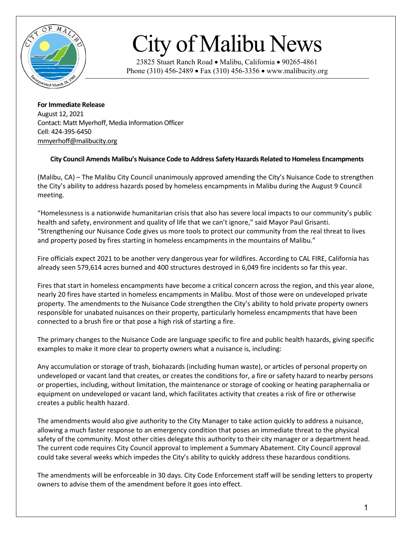

## City of Malibu News

23825 Stuart Ranch Road • Malibu, California • 90265-4861 Phone (310) 456-2489 • Fax (310) 456-3356 • www.malibucity.org

**For Immediate Release** August 12, 2021 Contact: Matt Myerhoff, Media Information Officer Cell: 424-395-6450 [mmyerhoff@malibucity.org](mailto:mmyerhoff@malibucity.org)

## **City Council Amends Malibu's Nuisance Code to Address Safety Hazards Related to Homeless Encampments**

(Malibu, CA) – The Malibu City Council unanimously approved amending the City's Nuisance Code to strengthen the City's ability to address hazards posed by homeless encampments in Malibu during the August 9 Council meeting.

"Homelessness is a nationwide humanitarian crisis that also has severe local impacts to our community's public health and safety, environment and quality of life that we can't ignore," said Mayor Paul Grisanti. "Strengthening our Nuisance Code gives us more tools to protect our community from the real threat to lives and property posed by fires starting in homeless encampments in the mountains of Malibu."

Fire officials expect 2021 to be another very dangerous year for wildfires. According to CAL FIRE, California has already seen 579,614 acres burned and 400 structures destroyed in 6,049 fire incidents so far this year.

Fires that start in homeless encampments have become a critical concern across the region, and this year alone, nearly 20 fires have started in homeless encampments in Malibu. Most of those were on undeveloped private property. The amendments to the Nuisance Code strengthen the City's ability to hold private property owners responsible for unabated nuisances on their property, particularly homeless encampments that have been connected to a brush fire or that pose a high risk of starting a fire.

The primary changes to the Nuisance Code are language specific to fire and public health hazards, giving specific examples to make it more clear to property owners what a nuisance is, including:

Any accumulation or storage of trash, biohazards (including human waste), or articles of personal property on undeveloped or vacant land that creates, or creates the conditions for, a fire or safety hazard to nearby persons or properties, including, without limitation, the maintenance or storage of cooking or heating paraphernalia or equipment on undeveloped or vacant land, which facilitates activity that creates a risk of fire or otherwise creates a public health hazard.

The amendments would also give authority to the City Manager to take action quickly to address a nuisance, allowing a much faster response to an emergency condition that poses an immediate threat to the physical safety of the community. Most other cities delegate this authority to their city manager or a department head. The current code requires City Council approval to implement a Summary Abatement. City Council approval could take several weeks which impedes the City's ability to quickly address these hazardous conditions.

The amendments will be enforceable in 30 days. City Code Enforcement staff will be sending letters to property owners to advise them of the amendment before it goes into effect.